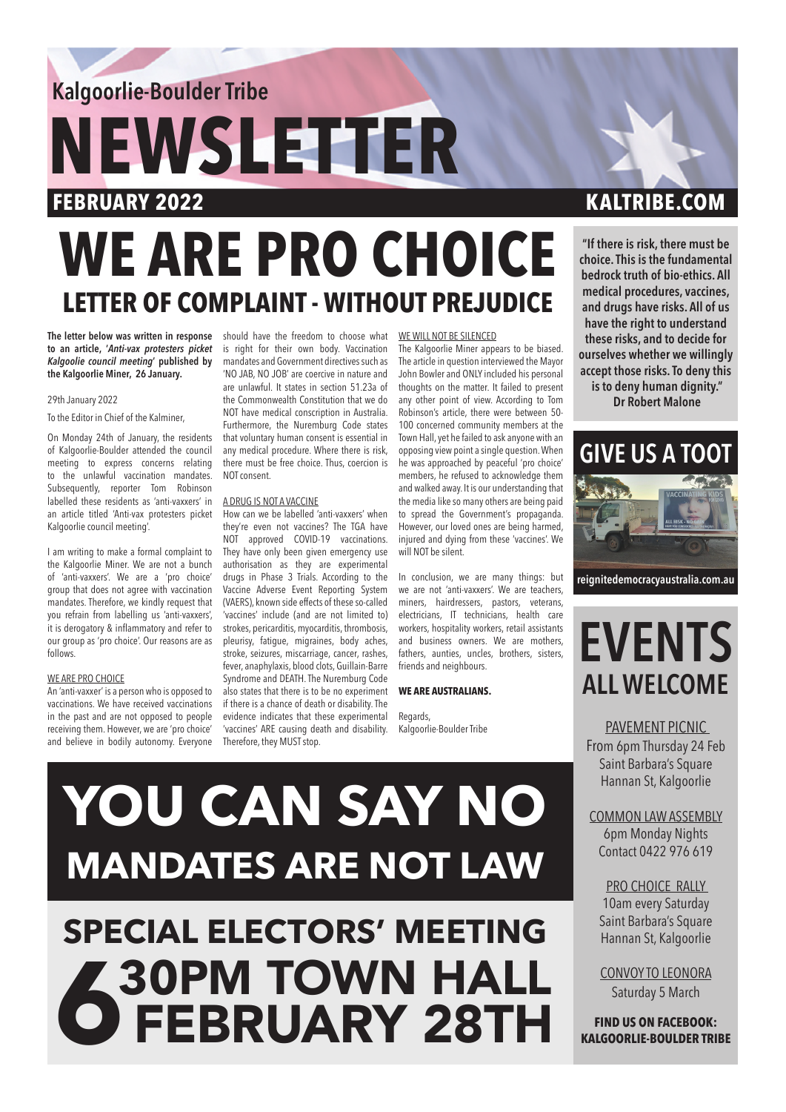**Kalgoorlie-Boulder Tribe** 

# **NEWSLETTER**

## **WE ARE PRO CHOICE LETTER OF COMPLAINT - WITHOUT PREJUDICE**

**The letter below was written in response**  should have the freedom to choose what **to an article, '***Anti-vax protesters picket Kalgoolie council meeting***' published by the Kalgoorlie Miner, 26 January.** 

#### 29th January 2022

To the Editor in Chief of the Kalminer,

On Monday 24th of January, the residents of Kalgoorlie-Boulder attended the council meeting to express concerns relating to the unlawful vaccination mandates. Subsequently, reporter Tom Robinson labelled these residents as 'anti-vaxxers' in an article titled 'Anti-vax protesters picket Kalgoorlie council meeting'.

I am writing to make a formal complaint to the Kalgoorlie Miner. We are not a bunch of 'anti-vaxxers'. We are a 'pro choice' group that does not agree with vaccination mandates. Therefore, we kindly request that you refrain from labelling us 'anti-vaxxers', it is derogatory & inflammatory and refer to our group as 'pro choice'. Our reasons are as follows.

### WE ARE PRO CHOICE

An 'anti-vaxxer' is a person who is opposed to vaccinations. We have received vaccinations in the past and are not opposed to people receiving them. However, we are 'pro choice' and believe in bodily autonomy. Everyone

is right for their own body. Vaccination mandates and Government directives such as 'NO JAB, NO JOB' are coercive in nature and are unlawful. It states in section 51.23a of the Commonwealth Constitution that we do NOT have medical conscription in Australia. Furthermore, the Nuremburg Code states that voluntary human consent is essential in any medical procedure. Where there is risk, there must be free choice. Thus, coercion is NOT consent.

## A DRUG IS NOT A VACCINE

How can we be labelled 'anti-vaxxers' when they're even not vaccines? The TGA have NOT approved COVID-19 vaccinations. They have only been given emergency use authorisation as they are experimental drugs in Phase 3 Trials. According to the Vaccine Adverse Event Reporting System (VAERS), known side effects of these so-called 'vaccines' include (and are not limited to) strokes, pericarditis, myocarditis, thrombosis, pleurisy, fatigue, migraines, body aches, stroke, seizures, miscarriage, cancer, rashes, fever, anaphylaxis, blood clots, Guillain-Barre Syndrome and DEATH. The Nuremburg Code also states that there is to be no experiment if there is a chance of death or disability. The evidence indicates that these experimental 'vaccines' ARE causing death and disability. Therefore, they MUST stop.

#### WE WILL NOT BE SILENCED

The Kalgoorlie Miner appears to be biased. The article in question interviewed the Mayor John Bowler and ONLY included his personal thoughts on the matter. It failed to present any other point of view. According to Tom Robinson's article, there were between 50- 100 concerned community members at the Town Hall, yet he failed to ask anyone with an opposing view point a single question. When he was approached by peaceful 'pro choice' members, he refused to acknowledge them and walked away. It is our understanding that the media like so many others are being paid to spread the Government's propaganda. However, our loved ones are being harmed, injured and dying from these 'vaccines'. We will NOT be silent.

In conclusion, we are many things: but we are not 'anti-vaxxers'. We are teachers, miners, hairdressers, pastors, veterans, electricians, IT technicians, health care workers, hospitality workers, retail assistants and business owners. We are mothers, fathers, aunties, uncles, brothers, sisters, friends and neighbours.

### **WE ARE AUSTRALIANS.**

Regards, Kalgoorlie-Boulder Tribe

## **FEBRUARY 2022 KALTRIBE.COM**

**"If there is risk, there must be choice. This is the fundamental bedrock truth of bio-ethics. All medical procedures, vaccines, and drugs have risks. All of us have the right to understand these risks, and to decide for ourselves whether we willingly accept those risks. To deny this is to deny human dignity."**

 **Dr Robert Malone**



**reignitedemocracyaustralia.com.au**

## **EVENTS ALL WELCOME**

PAVEMENT PICNIC From 6pm Thursday 24 Feb Saint Barbara's Square Hannan St, Kalgoorlie

COMMON LAW ASSEMBLY 6pm Monday Nights Contact 0422 976 619

PRO CHOICE RALLY 10am every Saturday Saint Barbara's Square Hannan St, Kalgoorlie

CONVOY TO LEONORA Saturday 5 March

**FIND US ON FACEBOOK: KALGOORLIE-BOULDER TRIBE**

# **YOU CAN SAY NO MANDATES ARE NOT LAW**

# **SPECIAL ELECTORS' MEETING 6 30PM TOWN HALL 6 FEBRUARY 28TH**